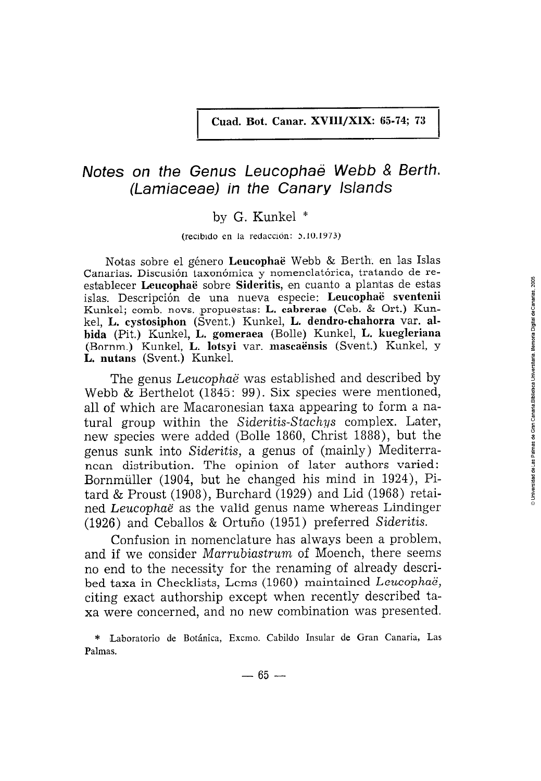# Notes on the Genus Leucophaë Webb & Berth. (Lamiaceae) in the Canary Islands

## by G. Kunkel \*

#### (recibido en la redacción: 5.10.1973)

Notas sobre el género Leucophaë Webb & Berth. en las Islas Canarias. Discusión taxonómica y nomenclatórica, tratando de reestablecer Leucophaë sobre Sideritis, en cuanto a plantas de estas islas. Descripción de una nueva especie: Leucophaë sventenii Kunkel; comb. novs. propuestas: L. cabrerae (Ceb. & Ort.) Kunkel, L. cystosiphon (Svent.) Kunkel, L. dendro-chahorra var. albida (Pit.) Kunkel, L. gomeraea (Bolle) Kunkel, L. kuegleriana (Bornm.) Kunkel, L. lotsyi var. mascaënsis (Svent.) Kunkel, y L. nutans (Svent.) Kunkel.

The genus *Leucophaë* was established and described by Webb & Berthelot (1845: 99). Six species were mentioned, all of which are Macaronesian taxa appearing to form a natural group within the Sideritis-Stachys complex. Later, new species were added (Bolle 1860, Christ 1888), but the genus sunk into Sideritis, a genus of (mainly) Mediterranean distribution. The opinion of later authors varied: Bornmüller (1904, but he changed his mind in 1924), Pitard & Proust  $(1908)$ , Burchard  $(1929)$  and Lid  $(1968)$  retained Leucophaë as the valid genus name whereas Lindinger (1926) and Ceballos & Ortuño (1951) preferred Sideritis.

Confusion in nomenclature has always been a problem, and if we consider *Marrubiastrum* of Moench, there seems no end to the necessity for the renaming of already described taxa in Checklists, Loms (1960) maintained Leucophaë, citing exact authorship except when recently described taxa were concerned, and no new combination was presented.

<sup>\*</sup> Laboratorio de Botánica, Excmo. Cabildo Insular de Gran Canaria, Las Palmas.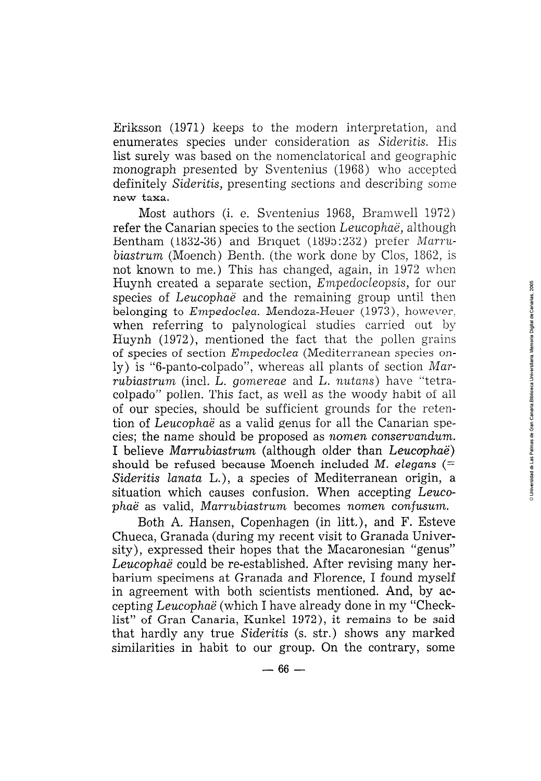Eriksson (1971) keeps to the modern interpretation, and enumerates species under consideration as Sideritis. His list surely was based on the nomenclatorical and geographic monograph presented by Sventenius (1968) who accepted definitely Sideritis, presenting sections and describing some new taxa.

Most authors (i. e. Sventenius 1968, Bramwell 1972) refer the Canarian species to the section Leucophaë, although Bentham (1832-36) and Briquet (1895:232) prefer Marrubiastrum (Moench) Benth. (the work done by Clos, 1862, is not known to me.) This has changed, again, in 1972 when Huynh created a separate section, *Empedocleopsis*, for our species of *Leucophaë* and the remaining group until then belonging to *Empedoclea*. Mendoza-Heuer (1973), however, when referring to palynological studies carried out by Huynh (1972), mentioned the fact that the pollen grains of species of section Empedoclea (Mediterranean species only) is "6-panto-colpado", whereas all plants of section Mar*rubiastrum* (incl. L. gomereae and L. nutans) have "tetracolpado" pollen. This fact, as well as the woody habit of all of our species, should be sufficient grounds for the retention of Leucophaë as a valid genus for all the Canarian species; the name should be proposed as nomen conservandum. I believe Marrubiastrum (although older than Leucophaë) should be refused because Moench included M. elegans  $(=$ Sideritis lanata L.), a species of Mediterranean origin, a situation which causes confusion. When accepting Leucophaë as valid, Marrubiastrum becomes nomen confusum.

Both A. Hansen, Copenhagen (in litt.), and F. Esteve Chueca, Granada (during my recent visit to Granada University), expressed their hopes that the Macaronesian "genus" Leucophaë could be re-established. After revising many herbarium specimens at Granada and Florence, I found myself in agreement with both scientists mentioned. And, by accepting Leucophaë (which I have already done in my "Checklist" of Gran Canaria, Kunkel 1972), it remains to be said that hardly any true Sideritis (s. str.) shows any marked similarities in habit to our group. On the contrary, some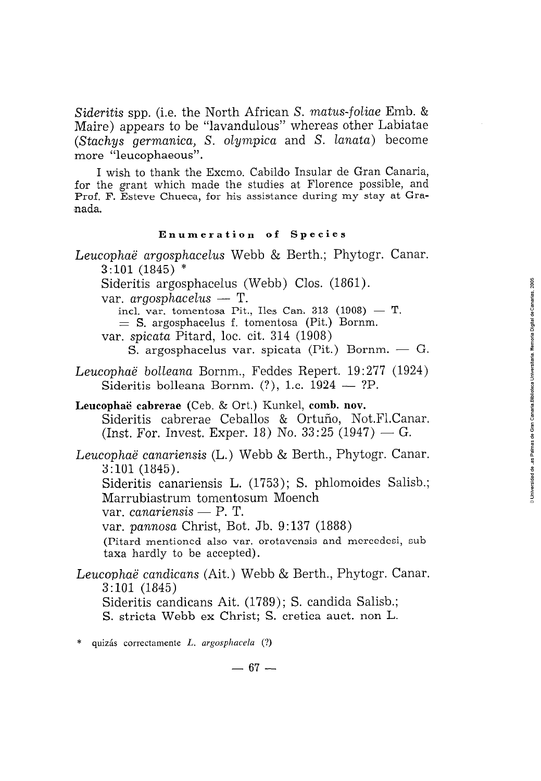Sideritis spp. (i.e. the North African S. matus-foliae Emb. & Maire) appears to be "lavandulous" whereas other Labiatae (Stachys germanica, S. olympica and S. lanata) become more "leucophaeous".

I wish to thank the Excmo. Cabildo Insular de Gran Canaria, for the grant which made the studies at Florence possible, and Prof. F. Esteve Chueca, for his assistance during my stay at Granada.

### Enumeration of Species

- Leucophaë argosphacelus Webb & Berth.; Phytogr. Canar.  $3:101(1845)$  \*
	- Sideritis argosphacelus (Webb) Clos. (1861).

var.  $argosphacelus$  - T.

incl. var. tomentosa Pit., Iles Can. 313 (1908) - T.  $=$  S. argosphacelus f. tomentosa (Pit.) Bornm. var. *spicata* Pitard, loc. cit. 314 (1908)

S. argosphacelus var. spicata ( $P$ it.) Bornm. — G.

Leucophaë bolleana Bornm., Feddes Repert. 19:277 (1924) Sideritis bolleana Bornm.  $(?)$ , 1.c.  $1924 - ?P$ .

Leucophaë cabrerae (Ceb. & Ort.) Kunkel, comb. nov. Sideritis cabrerae Ceballos & Ortuño, Not.Fl.Canar. (Inst. For. Invest. Exper. 18) No.  $33:25$  (1947) - G.

Leucophaë canariensis (L.) Webb & Berth., Phytogr. Canar.  $3:101(1845).$ Sideritis canariensis L. (1753); S. phlomoides Salisb.;

Marrubiastrum tomentosum Moench

var. canariensis  $- P$ . T.

var. pannosa Christ, Bot. Jb. 9:137 (1888)

(Pitard mentioned also var. orotavensis and mercedesi, subtaxa hardly to be accepted).

Leucophaë candicans (Ait.) Webb & Berth., Phytogr. Canar.  $3:101(1845)$ Sideritis candicans Ait. (1789); S. candida Salisb.;

S. stricta Webb ex Christ; S. cretica auct. non L.

quizás correctamente  $L$ , argosphacela  $(?)$ 

 $-67-$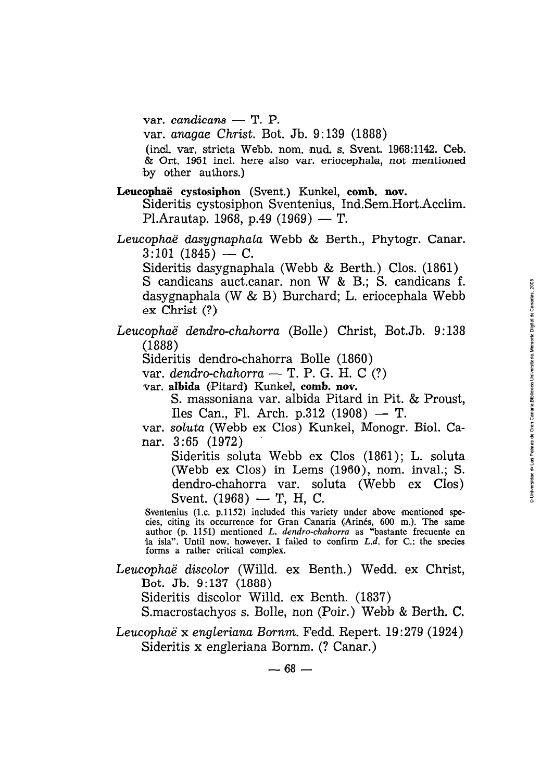$var.$  *candicans* - T. P.

var. *anagae Christ.* Bot. Jb. 9:139 (1888)

(incl. var. stricta Webb. nom. nud. s. Svent. 1968:1142. Ceb.  $\&$  Ort. 1951 incl. here also var. eriocephala, not mentioned by other authors.)

Leucophaë cystosiphon (Svent.) Kunkel, comb. nov.

Sideritis cystosiphon Sventenius, 1nd.Sem.Hort.Acclim. **ophaë cystosiphon** (Svent.) Kunkel, <mark>c</mark><br>Sideritis cystosiphon Sventenius, In<br>Pl.Arautap. 1968, p.49 (1969) — T.

*Leucopñae dasygnaphaia* webb & Berth., Phytogr. Canar. Pl.Arautap. 1968, p.49 (1969) — T.<br>cophaë dasygnaphala Webb & Bert<br>3:101 (1845) — C.

Sideritis dasygnaphala (Webb & Berth.) Clos. (1861)

S candicans auct.canar. non W & B.; S. candicans f. dasygnaphala (W & B) Burchard; L. eriocephala Webb **ex Chrict** (?)

*Leucophae dendro-chahorra* (Bolle) Christ, *Bot.* Jb. 9 : 138 (1888)

Sideritis dendro-chahorra Bolle (1860)

var. *dendro-chahorra* - T. P. G. H. C (?)

var. albida (Pitard) Kunkel, comb. nov.

S. massoniana var. albida Pitard in Pit. & Proust,  $I$ les Can., Fl. Arch. p.312  $(1908) - T$ .

var. soluta (Webb ex Clos) Kunkel, Monogr. Biol. Canar. 3:65 (1972)

Sideritis soluta Webb ex Clos (1861); L. soluta (Webb ex Clos) in Lems (1960), nom. inval.; S. dendro-chahorra var. soluta (Webb ex Clos) (Webb ex Clos) in Lems<br>dendro-chahorra var. sol<br>Svent.  $(1968)$  – T, H, C.

Sventenius (1.c. p.1152) included this variety under above mentioned species, citing its occurrence for Gran Canaria (Arinés, 600 m.). The same<br>author (p. 1151) mentioned L. dendro-chahorra as "bastante frecuente en<br>la isla". Until now, however, I failed to confirm L.d. for C.: the species forms a rather critica1 complex.

Leucophaë discolor *(Willd. ex Benth.)* Wedd. ex Christ, Bot. Jb. 9:137 (1888)

Sideritis discolor Willd. ex Benth. (1837)

S.macrostachyos s. Bolle, non (Poir.) Webb & Berth. C.

*Leuccphae* x *engleriana Bornm.* Fedd. Repert. 19:279 (1924) Sideritis x engleriana Bornm. (? Canar.)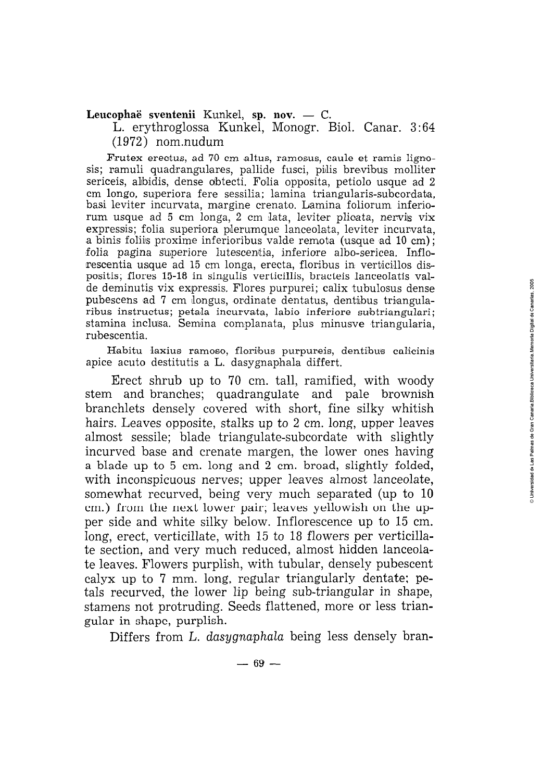## Leucophaë sventenii Kunkel, sp. nov. - C.

L. erythroglossa Kunkel, Monogr. Biol. Canar. **3** : 64 (1972) nom.nudum

Frutex erectus, ad 70 cm altus, ramosus, caule et ramis lignosis; ramuli quadrangulares, pallide fusci, pilis brevibus molliter sericeis, aibidis, dense dbtecti. Folia opposita, petiolo usque ad 2 cm longo. superiora fere sessilia: lamina triangularis-subcordata. basi leviter incurvata, margine crenato. Lamina foliorum inferiorum usque ad 5 cm longa, 2 cm lata, leviter plicata, nervis vix expressis; folia superiora pilerumque lanceolata, leviter incurvata, a binis foliiis proxime inferioribus valde remota (usque ad 10 cm); folia pagina superiore lutescentia, inferiore albo-sericea. Inflorescentia usque ad 15 cm longa, erecta, floribus in verticillos dispositis, flores 15-18 in singulis verticillis, bracteis lanceolatis valde deminutis vix expressis. Flores purpurei; calix tubulosus dense pubescens ad 7 cm longus, ordinate dentatus, dentibus triangularibus instructus; petala incurvata, labio inferiore subtriangulari; stamina inclusa. Semina complanata, plus minusve triangularia, rubescentia.

Habitu laxius ramoso, floribus purpureis, dentibus calicinis apice acuto destitutis a L. dasygnaphala differt.

Erect shrub up to 70 cm. tall, ramified, with woody stem and branches; quadrangulate and pale brownish branchlets densely covered with short, fine silky whitish hairs. Leaves opposite, stalks up to 2 cm. long, upper leaves almost sessile; blade triangulate-subcordate with slightly incurved base and crenate margen, the lower ones having a blade up to *5* cm. long and 2 cm. broad, slightly folded, with inconspicuous nerves; upper leaves almost lanceolate, somewhat recurved, being very much separated (up to 10 cm.) from the next lower pair; leaves yellowish on the upper side and white silky below. Inflorescence up to 15 cm. long, erect, verticillate, with 15 to 18 flowers per verticillate section, and very much reduced, almost hidden lanceolate leaves. Flowers purplish, with tubular, densely pubescent calyx up to 7 mm. long, regular triangularly dentate; petals recurved, the lower lip being sub-triangular in shape, stamens not protruding. Seeds flattened, more or less triangular in shape, purplish.

Differs from L. dasygnaphala being less densely bran-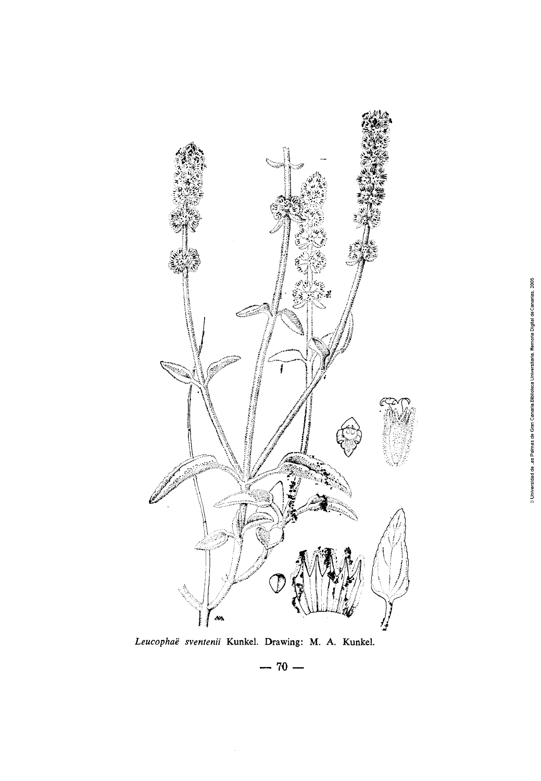

*Leucophae sventenii* **Kunkel.** Drawing: *M.* **A. Kunkel.** 

 $- 70 -$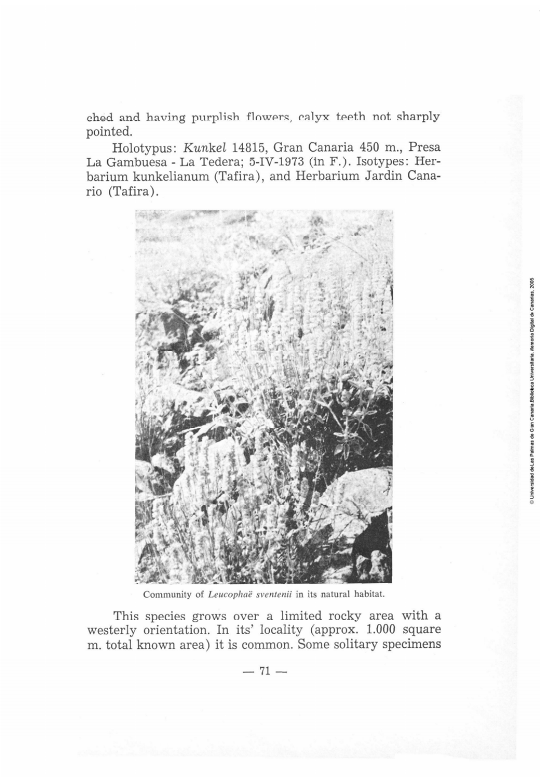ched and having purplish flowers, calyx teeth not sharply pointed.

Holotypus: Kunkel 14815, Gran Canaria 450 m,, Presa La Gambuesa - La Tedera; 5-IV-1973 (in F.). Isotypes: Herbarium kunkelianum (Tafira), and Herbarium Jardin Canario (Tafira) .



Community of Leucophaë sventenii in its natural habitat.

This species grows over a limited rocky area with **a**  westerly orientation. In its' locality (approx. 1.000 square m. total known area) it is common. Some solitary specimens orla Digital de Canarias, 2005 Duiversidad de Las Palmas de Gian Canaria Biblioteca Universitaria. Me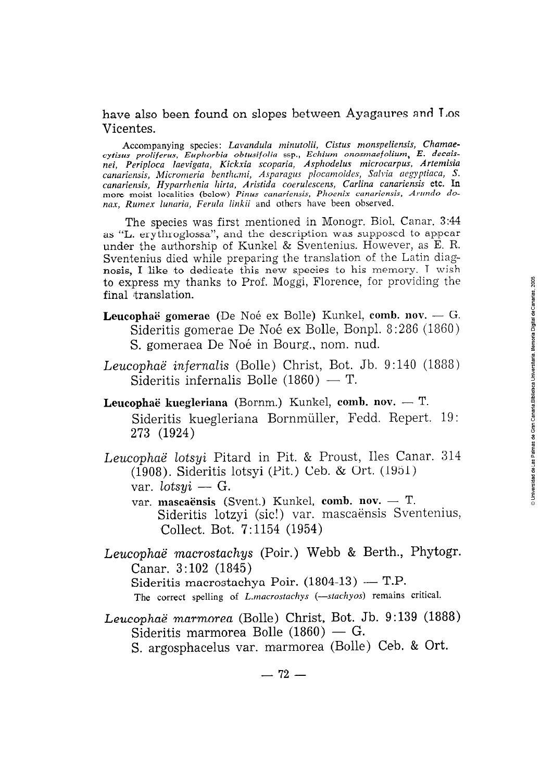## have also been found on slopes between Ayagaures and Los Vicentes.

Accompanying species: *Lavandula minutolii, Cistus monspeliensis, Chamaecytisus proliferus, Eupliorbia obtusifolio* ssp., *Echium onosmaefolium, E. decaisnei, Periploca laevigata, Kickxia scoparia, Asphodelus microcarpus, Artemisia*  canariensis, Micromeria benthami, Asparagus plocamoides, Salvia aegyptiaca, S. *canariensis, Hyparrhenia hirta, Aristida coerulescens, Carlina canariensis etc. In more moist localities (below) Pinus canariensis, Phoenix canariensis, Arundo do*nax, Rumex lunaria, Ferula linkii and others have been observed.

The species was first mentioned in Monogr. Biol. Canar. **3:44**  as "L. erythroglossa", and the description was supposed to appear under the authorship of Kunkel & Sventenius. However, as E. R. Sventenius died while preparing the translation of the Latin diagnosis, I like to dedicate this new species to his memory. I wish to express my thanks to Prof. Moggi, Florence, for providing the final translation.

- Leucophaë gomerae (De Noé ex Bolle) Kunkel, comb. nov. G. Sideritis gomerae De Noé ex Bolle, Bonpl. 8:286 (1860) S. gomeraea De Noé in Bourg., nom. nud.
- Leucophae infernalis (Bolle) Christ, Bot. Jb. 9 : 140 (1888) Sideritis infernalis Bolle  $(1860) - T$ .
- Leucophaë kuegleriana (Bornm.) Kunkel, comb. nov. T. Sideritis kuegleriana Bornmüller, Fedd. Repert. 19 : 273 (1924)
- Leucophaë lotsyi Pitard in Pit. & Proust, Iles Canar. 314 (1908). Sideritis lotsyi (Pit.) Ceb. & Ort. (1951) ophaë lotsyi Pita<br>(1908). Sideritis le<br>var. lotsyi — G. var. *lotsyi —* G.<br>var. **mascaënsis (**Svent.) Kunkel, **comb. nov.** — T.
	- Sideritis lotzyi (sic!) var. mascaënsis Sventenius, Collect. Bot. 7: 1154 (1954)
- Leucophaë macrostachys (Poir.) Webb & Berth., Phytogr.<br>
Canar. 3:102 (1845)<br>
Sideritis macrostachya Poir. (1804-13) T.P. Canar. 3:102 (1845) The correct spelling of *L.macrostachys* (--stachyos) remains critical.
- Leucophae marmorea (Bolle) Christ, Bot. Jb. 9:139 (1888) Sideritis marmorea Bolle  $(1860)$  — G. S. argosphacelus var. marmorea (Bolle) Ceb. & Ort. *acnyos*)<br>Bot. Jl<br>— G.<br>(D. U.)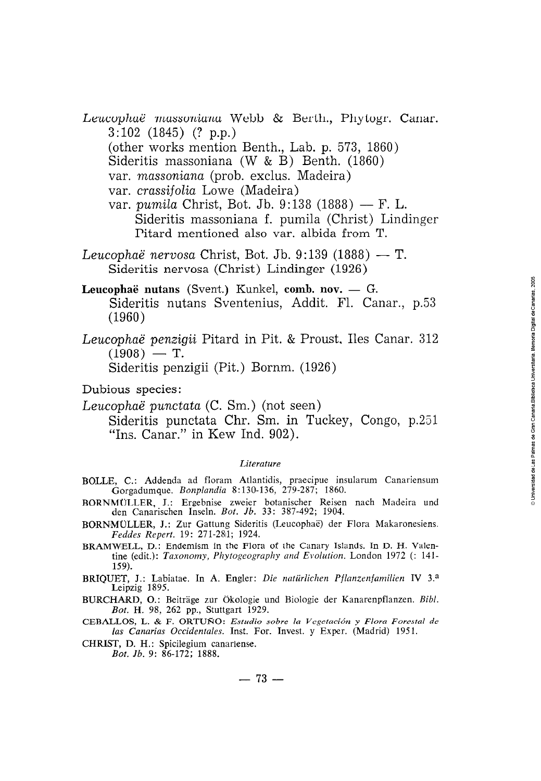- Leucophaë massoniana Webb & Berth., Phytogr. Canar. 3:102 (1845) (? p.p.) (other works mention Benth., Lab. p. 573, 1860)
	- Sideritis massoniana (W & B) Benth. (1860)
	- var. *massoniana* (prob. exclus. Madeira)
	- var. *crassifolia* Lowe (Madeira)
	- var. *pumila* Christ, Bot. Jb. 9:138 (1888) F. L. Sideritis massoniana f. pumila (Christ) Lindinger Pitard mentioned also var. albida from T.
- *Leucophae nervosa* Christ, Bot. *Jb.* 9:139 (1888) T. Sideritis nervosa (Christ) Lindinger (1926)
- Leucophaë nutans (Svent.) Kunkel, comb. nov. G. Sideritis nutans Sventenius, Addit. Fl. Canar., p.53 (1960)
- *Leucophae penzigii* Pitard in Pit. & Proust, Iles Canar. 312 (1960)<br>:ophaë penzigii<br>(1908) — T. Sideritis penzigii (Pit.) Bornm. (1926)

Dubious species:

*Leucophae punctata* (C. Sm.) (not seen) Sideritis punctata Chr. Sm. in Tuckey, Congo, p.251

"Ins. Canar." in Kew Ind. 902).

#### *Literature*

- BOLLE, C.: Addenda ad floram Atlantidis, praecipue insularum Canariensum Gorgadumque. *Bonplandia* 8: 130-136, 279-287; 1860.
- **RORNMfiTJ.ER,** S.: Ergebnise zweier botanischer Reisen nach Madeira und den Canarischen Inseln. *Bot. Jb.* 33: 387-492; 1904.
- BORNMULLER, J.: Zur Gattung Sideritis (Leucophaë) der Flora Makaronesiens. *Feddes Repert.* 19: 271-2811; 1924.
- BRAMWELL, D.: Endemism in the Flora of the Canary Islands. In D. H. Valentine (edit.): *Taxonomy, Phytogeography and Evolution*. London 1972 (: 141-159).
- BRIQUET, J.: Labiatae. In A. Engler: *Die natürlichen Pflanzenfarnilien IV* 3.a Leipzig 1895.
- BURCHhRD, *O.:* Beitrage zur Okologie und Biologie der Kanarenpflanzen. *Bibl. Bot.* H. 98, 262 pp., Stuttgart 1929.
- **CEBAILOS, L.** & *F. ORTUÑO: Estudio sobre la Ifcgctación y Flora Forestal de las Canarias Occidentales.* Inst. For. Invest. y Exper. (Madrid) 1951.
- CHRLST, D. H.: Spicilegium canariense. *Bot. Jb.* 9: 86-172; 1888.

 $-73-$